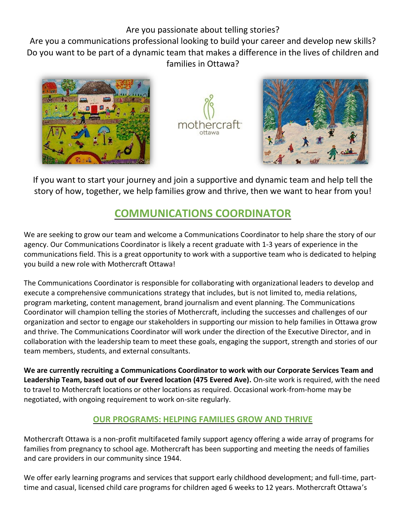## Are you passionate about telling stories?

Are you a communications professional looking to build your career and develop new skills? Do you want to be part of a dynamic team that makes a difference in the lives of children and families in Ottawa?







If you want to start your journey and join a supportive and dynamic team and help tell the story of how, together, we help families grow and thrive, then we want to hear from you!

# **COMMUNICATIONS COORDINATOR**

We are seeking to grow our team and welcome a Communications Coordinator to help share the story of our agency. Our Communications Coordinator is likely a recent graduate with 1-3 years of experience in the communications field. This is a great opportunity to work with a supportive team who is dedicated to helping you build a new role with Mothercraft Ottawa!

The Communications Coordinator is responsible for collaborating with organizational leaders to develop and execute a comprehensive communications strategy that includes, but is not limited to, media relations, program marketing, content management, brand journalism and event planning. The Communications Coordinator will champion telling the stories of Mothercraft, including the successes and challenges of our organization and sector to engage our stakeholders in supporting our mission to help families in Ottawa grow and thrive. The Communications Coordinator will work under the direction of the Executive Director, and in collaboration with the leadership team to meet these goals, engaging the support, strength and stories of our team members, students, and external consultants.

**We are currently recruiting a Communications Coordinator to work with our Corporate Services Team and Leadership Team, based out of our Evered location (475 Evered Ave).** On-site work is required, with the need to travel to Mothercraft locations or other locations as required. Occasional work-from-home may be negotiated, with ongoing requirement to work on-site regularly.

## **OUR PROGRAMS: HELPING FAMILIES GROW AND THRIVE**

Mothercraft Ottawa is a non-profit multifaceted family support agency offering a wide array of programs for families from pregnancy to school age. Mothercraft has been supporting and meeting the needs of families and care providers in our community since 1944.

We offer early learning programs and services that support early childhood development; and full-time, parttime and casual, licensed child care programs for children aged 6 weeks to 12 years. Mothercraft Ottawa's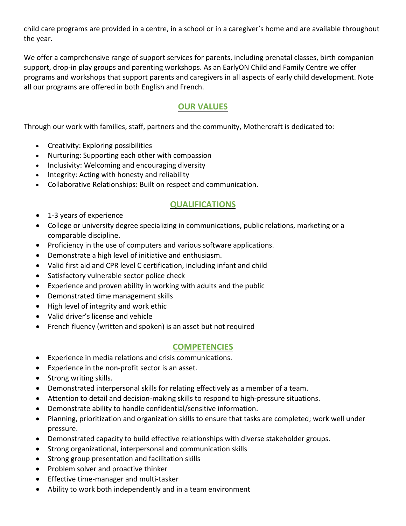child care programs are provided in a centre, in a school or in a caregiver's home and are available throughout the year.

We offer a comprehensive range of support services for parents, including prenatal classes, birth companion support, drop-in play groups and parenting workshops. As an EarlyON Child and Family Centre we offer programs and workshops that support parents and caregivers in all aspects of early child development. Note all our programs are offered in both English and French.

### **OUR VALUES**

Through our work with families, staff, partners and the community, Mothercraft is dedicated to:

- Creativity: Exploring possibilities
- Nurturing: Supporting each other with compassion
- Inclusivity: Welcoming and encouraging diversity
- Integrity: Acting with honesty and reliability
- Collaborative Relationships: Built on respect and communication.

#### **QUALIFICATIONS**

- 1-3 years of experience
- College or university degree specializing in communications, public relations, marketing or a comparable discipline.
- Proficiency in the use of computers and various software applications.
- Demonstrate a high level of initiative and enthusiasm.
- Valid first aid and CPR level C certification, including infant and child
- Satisfactory vulnerable sector police check
- Experience and proven ability in working with adults and the public
- Demonstrated time management skills
- High level of integrity and work ethic
- Valid driver's license and vehicle
- French fluency (written and spoken) is an asset but not required

#### **COMPETENCIES**

- Experience in media relations and crisis communications.
- Experience in the non-profit sector is an asset.
- Strong writing skills.
- Demonstrated interpersonal skills for relating effectively as a member of a team.
- Attention to detail and decision-making skills to respond to high-pressure situations.
- Demonstrate ability to handle confidential/sensitive information.
- Planning, prioritization and organization skills to ensure that tasks are completed; work well under pressure.
- Demonstrated capacity to build effective relationships with diverse stakeholder groups.
- Strong organizational, interpersonal and communication skills
- Strong group presentation and facilitation skills
- Problem solver and proactive thinker
- Effective time-manager and multi-tasker
- Ability to work both independently and in a team environment